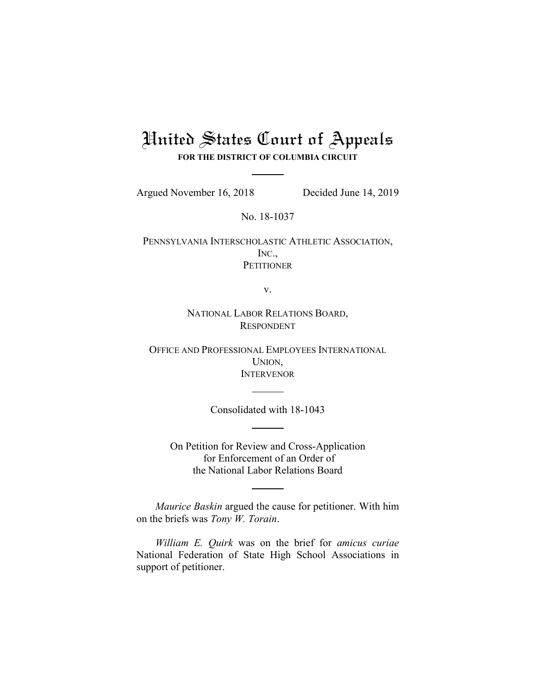# United States Court of Appeals **FOR THE DISTRICT OF COLUMBIA CIRCUIT**

Argued November 16, 2018 Decided June 14, 2019

No. 18-1037

PENNSYLVANIA INTERSCHOLASTIC ATHLETIC ASSOCIATION, INC., **PETITIONER** 

v.

NATIONAL LABOR RELATIONS BOARD, RESPONDENT

OFFICE AND PROFESSIONAL EMPLOYEES INTERNATIONAL UNION, **INTERVENOR** 

Consolidated with 18-1043

On Petition for Review and Cross-Application for Enforcement of an Order of the National Labor Relations Board

*Maurice Baskin* argued the cause for petitioner. With him on the briefs was *Tony W. Torain*.

*William E. Quirk* was on the brief for *amicus curiae*  National Federation of State High School Associations in support of petitioner.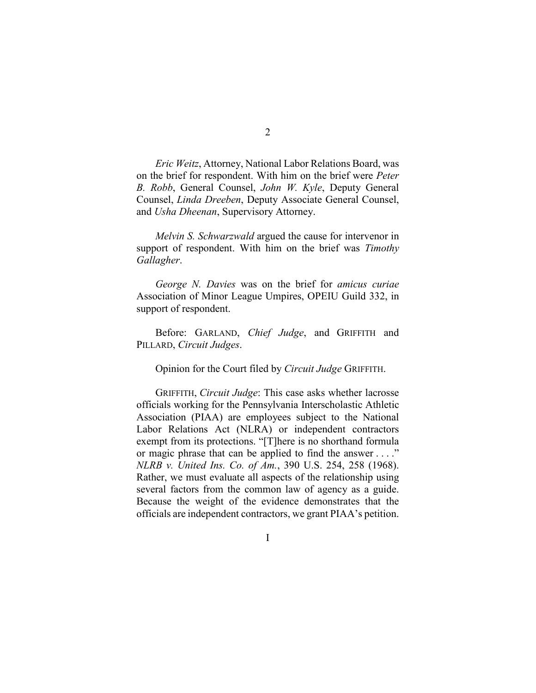*Eric Weitz*, Attorney, National Labor Relations Board, was on the brief for respondent. With him on the brief were *Peter B. Robb*, General Counsel, *John W. Kyle*, Deputy General Counsel, *Linda Dreeben*, Deputy Associate General Counsel, and *Usha Dheenan*, Supervisory Attorney.

*Melvin S. Schwarzwald* argued the cause for intervenor in support of respondent. With him on the brief was *Timothy Gallagher*.

*George N. Davies* was on the brief for *amicus curiae*  Association of Minor League Umpires, OPEIU Guild 332, in support of respondent.

Before: GARLAND, *Chief Judge*, and GRIFFITH and PILLARD, *Circuit Judges*.

Opinion for the Court filed by *Circuit Judge* GRIFFITH.

GRIFFITH, *Circuit Judge*: This case asks whether lacrosse officials working for the Pennsylvania Interscholastic Athletic Association (PIAA) are employees subject to the National Labor Relations Act (NLRA) or independent contractors exempt from its protections. "[T]here is no shorthand formula or magic phrase that can be applied to find the answer . . . ." *NLRB v. United Ins. Co. of Am.*, 390 U.S. 254, 258 (1968). Rather, we must evaluate all aspects of the relationship using several factors from the common law of agency as a guide. Because the weight of the evidence demonstrates that the officials are independent contractors, we grant PIAA's petition.

I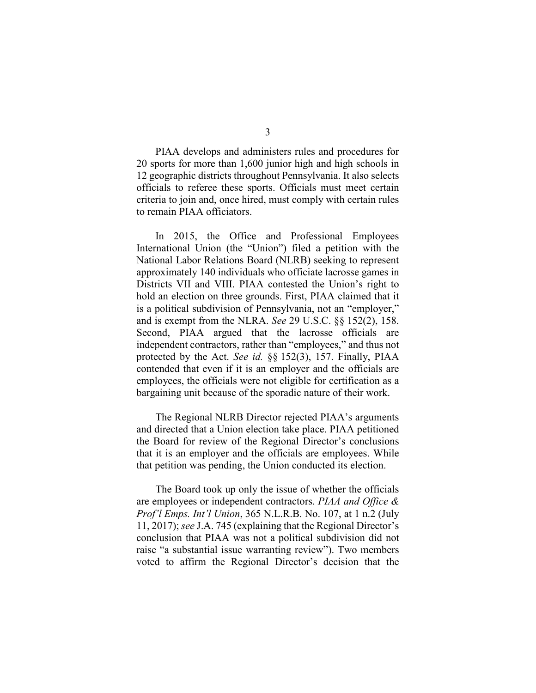PIAA develops and administers rules and procedures for 20 sports for more than 1,600 junior high and high schools in 12 geographic districts throughout Pennsylvania. It also selects officials to referee these sports. Officials must meet certain criteria to join and, once hired, must comply with certain rules to remain PIAA officiators.

In 2015, the Office and Professional Employees International Union (the "Union") filed a petition with the National Labor Relations Board (NLRB) seeking to represent approximately 140 individuals who officiate lacrosse games in Districts VII and VIII. PIAA contested the Union's right to hold an election on three grounds. First, PIAA claimed that it is a political subdivision of Pennsylvania, not an "employer," and is exempt from the NLRA. *See* 29 U.S.C. §§ 152(2), 158. Second, PIAA argued that the lacrosse officials are independent contractors, rather than "employees," and thus not protected by the Act. *See id.* §§ 152(3), 157. Finally, PIAA contended that even if it is an employer and the officials are employees, the officials were not eligible for certification as a bargaining unit because of the sporadic nature of their work.

The Regional NLRB Director rejected PIAA's arguments and directed that a Union election take place. PIAA petitioned the Board for review of the Regional Director's conclusions that it is an employer and the officials are employees. While that petition was pending, the Union conducted its election.

The Board took up only the issue of whether the officials are employees or independent contractors. *PIAA and Office & Prof'l Emps. Int'l Union*, 365 N.L.R.B. No. 107, at 1 n.2 (July 11, 2017); *see* J.A. 745 (explaining that the Regional Director's conclusion that PIAA was not a political subdivision did not raise "a substantial issue warranting review"). Two members voted to affirm the Regional Director's decision that the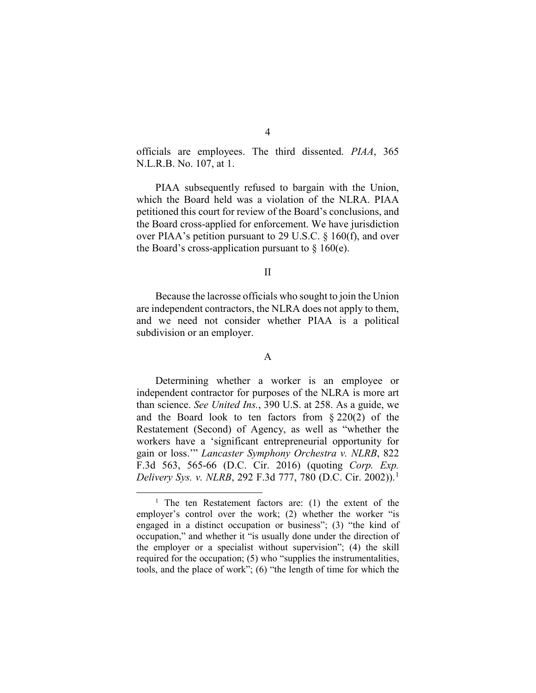officials are employees. The third dissented. *PIAA*, 365 N.L.R.B. No. 107, at 1.

PIAA subsequently refused to bargain with the Union, which the Board held was a violation of the NLRA. PIAA petitioned this court for review of the Board's conclusions, and the Board cross-applied for enforcement. We have jurisdiction over PIAA's petition pursuant to 29 U.S.C. § 160(f), and over the Board's cross-application pursuant to  $\S$  160(e).

#### II

Because the lacrosse officials who sought to join the Union are independent contractors, the NLRA does not apply to them, and we need not consider whether PIAA is a political subdivision or an employer.

### A

Determining whether a worker is an employee or independent contractor for purposes of the NLRA is more art than science. *See United Ins.*, 390 U.S. at 258. As a guide, we and the Board look to ten factors from § 220(2) of the Restatement (Second) of Agency, as well as "whether the workers have a 'significant entrepreneurial opportunity for gain or loss.'" *Lancaster Symphony Orchestra v. NLRB*, 822 F.3d 563, 565-66 (D.C. Cir. 2016) (quoting *Corp. Exp. Delivery Sys. v. NLRB*, 292 F.3d 777, 780 (D.C. Cir. 2002)).<sup>[1](#page-3-0)</sup>

<span id="page-3-0"></span><sup>&</sup>lt;sup>1</sup> The ten Restatement factors are: (1) the extent of the employer's control over the work; (2) whether the worker "is engaged in a distinct occupation or business"; (3) "the kind of occupation," and whether it "is usually done under the direction of the employer or a specialist without supervision"; (4) the skill required for the occupation; (5) who "supplies the instrumentalities, tools, and the place of work"; (6) "the length of time for which the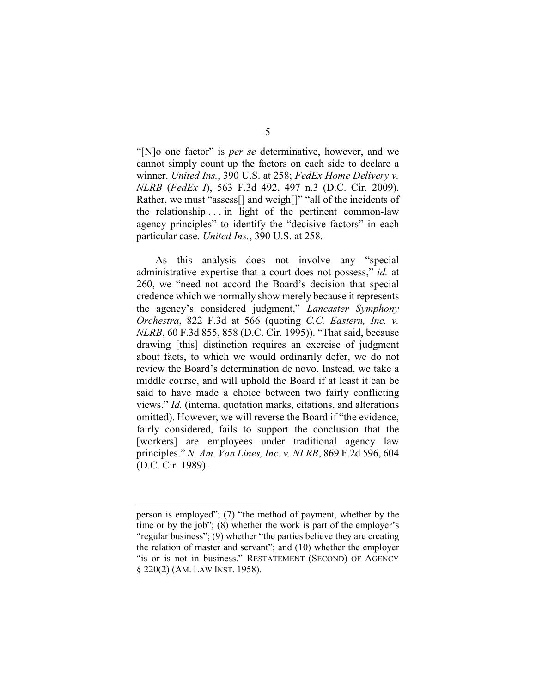"[N]o one factor" is *per se* determinative, however, and we cannot simply count up the factors on each side to declare a winner. *United Ins.*, 390 U.S. at 258; *FedEx Home Delivery v. NLRB* (*FedEx I*), 563 F.3d 492, 497 n.3 (D.C. Cir. 2009). Rather, we must "assess<sup>[]</sup> and weigh<sup>[]"</sup> "all of the incidents of the relationship . . . in light of the pertinent common-law agency principles" to identify the "decisive factors" in each particular case. *United Ins.*, 390 U.S. at 258.

As this analysis does not involve any "special administrative expertise that a court does not possess," *id.* at 260, we "need not accord the Board's decision that special credence which we normally show merely because it represents the agency's considered judgment," *Lancaster Symphony Orchestra*, 822 F.3d at 566 (quoting *C.C. Eastern, Inc. v. NLRB*, 60 F.3d 855, 858 (D.C. Cir. 1995)). "That said, because drawing [this] distinction requires an exercise of judgment about facts, to which we would ordinarily defer, we do not review the Board's determination de novo. Instead, we take a middle course, and will uphold the Board if at least it can be said to have made a choice between two fairly conflicting views." *Id.* (internal quotation marks, citations, and alterations omitted). However, we will reverse the Board if "the evidence, fairly considered, fails to support the conclusion that the [workers] are employees under traditional agency law principles." *N. Am. Van Lines, Inc. v. NLRB*, 869 F.2d 596, 604 (D.C. Cir. 1989).

 $\overline{a}$ 

person is employed"; (7) "the method of payment, whether by the time or by the job"; (8) whether the work is part of the employer's "regular business"; (9) whether "the parties believe they are creating the relation of master and servant"; and (10) whether the employer "is or is not in business." RESTATEMENT (SECOND) OF AGENCY § 220(2) (AM. LAW INST. 1958).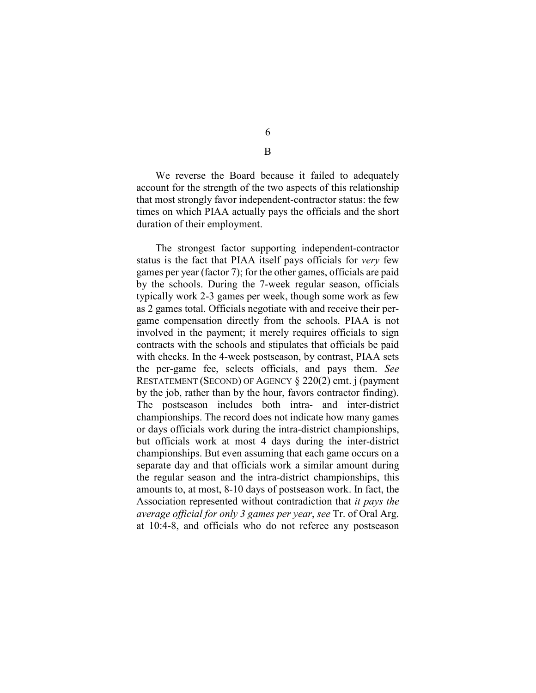We reverse the Board because it failed to adequately account for the strength of the two aspects of this relationship that most strongly favor independent-contractor status: the few times on which PIAA actually pays the officials and the short

duration of their employment.

The strongest factor supporting independent-contractor status is the fact that PIAA itself pays officials for *very* few games per year (factor 7); for the other games, officials are paid by the schools. During the 7-week regular season, officials typically work 2-3 games per week, though some work as few as 2 games total. Officials negotiate with and receive their pergame compensation directly from the schools. PIAA is not involved in the payment; it merely requires officials to sign contracts with the schools and stipulates that officials be paid with checks. In the 4-week postseason, by contrast, PIAA sets the per-game fee, selects officials, and pays them. *See*  RESTATEMENT (SECOND) OF AGENCY § 220(2) cmt. j (payment by the job, rather than by the hour, favors contractor finding). The postseason includes both intra- and inter-district championships. The record does not indicate how many games or days officials work during the intra-district championships, but officials work at most 4 days during the inter-district championships. But even assuming that each game occurs on a separate day and that officials work a similar amount during the regular season and the intra-district championships, this amounts to, at most, 8-10 days of postseason work. In fact, the Association represented without contradiction that *it pays the average official for only 3 games per year*, *see* Tr. of Oral Arg. at 10:4-8, and officials who do not referee any postseason

6 B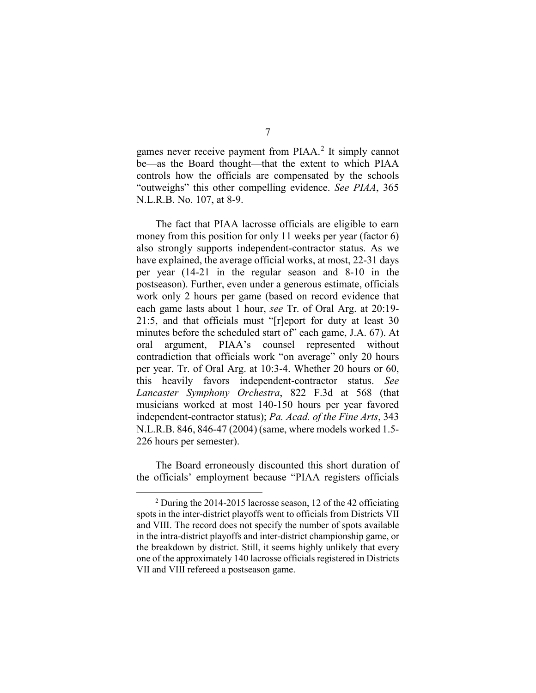games never receive payment from PIAA.<sup>[2](#page-6-0)</sup> It simply cannot be—as the Board thought—that the extent to which PIAA controls how the officials are compensated by the schools "outweighs" this other compelling evidence. *See PIAA*, 365 N.L.R.B. No. 107, at 8-9.

The fact that PIAA lacrosse officials are eligible to earn money from this position for only 11 weeks per year (factor 6) also strongly supports independent-contractor status. As we have explained, the average official works, at most, 22-31 days per year (14-21 in the regular season and 8-10 in the postseason). Further, even under a generous estimate, officials work only 2 hours per game (based on record evidence that each game lasts about 1 hour, *see* Tr. of Oral Arg. at 20:19- 21:5, and that officials must "[r]eport for duty at least 30 minutes before the scheduled start of" each game, J.A. 67). At oral argument, PIAA's counsel represented without contradiction that officials work "on average" only 20 hours per year. Tr. of Oral Arg. at 10:3-4. Whether 20 hours or 60, this heavily favors independent-contractor status. *See Lancaster Symphony Orchestra*, 822 F.3d at 568 (that musicians worked at most 140-150 hours per year favored independent-contractor status); *Pa. Acad. of the Fine Arts*, 343 N.L.R.B. 846, 846-47 (2004) (same, where models worked 1.5- 226 hours per semester).

The Board erroneously discounted this short duration of the officials' employment because "PIAA registers officials

<span id="page-6-0"></span> $2$  During the 2014-2015 lacrosse season, 12 of the 42 officiating spots in the inter-district playoffs went to officials from Districts VII and VIII. The record does not specify the number of spots available in the intra-district playoffs and inter-district championship game, or the breakdown by district. Still, it seems highly unlikely that every one of the approximately 140 lacrosse officials registered in Districts VII and VIII refereed a postseason game.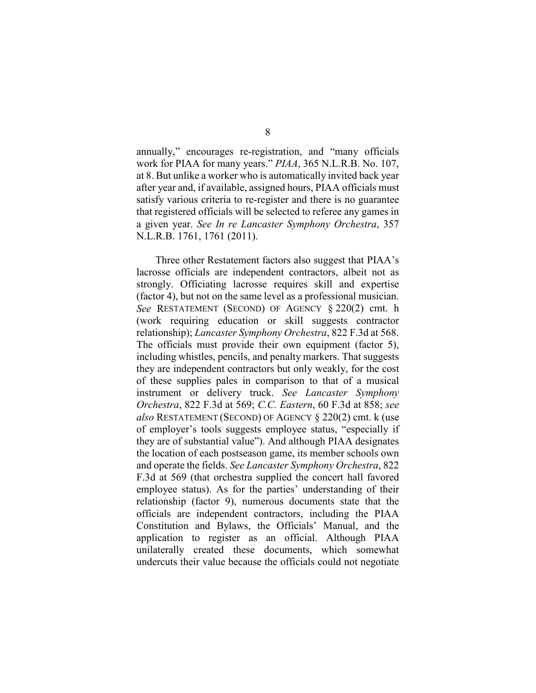annually," encourages re-registration, and "many officials work for PIAA for many years." *PIAA*, 365 N.L.R.B. No. 107, at 8. But unlike a worker who is automatically invited back year after year and, if available, assigned hours, PIAA officials must satisfy various criteria to re-register and there is no guarantee that registered officials will be selected to referee any games in a given year. *See In re Lancaster Symphony Orchestra*, 357 N.L.R.B. 1761, 1761 (2011).

Three other Restatement factors also suggest that PIAA's lacrosse officials are independent contractors, albeit not as strongly. Officiating lacrosse requires skill and expertise (factor 4), but not on the same level as a professional musician. *See* RESTATEMENT (SECOND) OF AGENCY § 220(2) cmt. h (work requiring education or skill suggests contractor relationship); *Lancaster Symphony Orchestra*, 822 F.3d at 568. The officials must provide their own equipment (factor 5), including whistles, pencils, and penalty markers. That suggests they are independent contractors but only weakly, for the cost of these supplies pales in comparison to that of a musical instrument or delivery truck. *See Lancaster Symphony Orchestra*, 822 F.3d at 569; *C.C. Eastern*, 60 F.3d at 858; *see also* RESTATEMENT (SECOND) OF AGENCY § 220(2) cmt. k (use of employer's tools suggests employee status, "especially if they are of substantial value"). And although PIAA designates the location of each postseason game, its member schools own and operate the fields. *See Lancaster Symphony Orchestra*, 822 F.3d at 569 (that orchestra supplied the concert hall favored employee status). As for the parties' understanding of their relationship (factor 9), numerous documents state that the officials are independent contractors, including the PIAA Constitution and Bylaws, the Officials' Manual, and the application to register as an official. Although PIAA unilaterally created these documents, which somewhat undercuts their value because the officials could not negotiate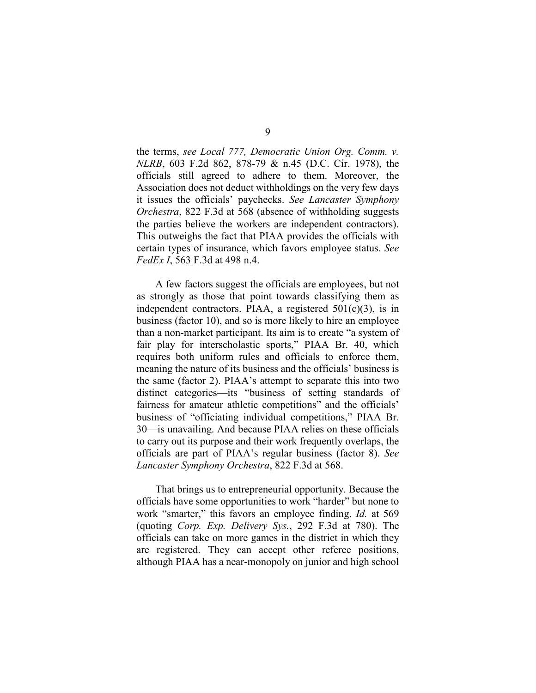the terms, *see Local 777, Democratic Union Org. Comm. v. NLRB*, 603 F.2d 862, 878-79 & n.45 (D.C. Cir. 1978), the officials still agreed to adhere to them. Moreover, the Association does not deduct withholdings on the very few days it issues the officials' paychecks. *See Lancaster Symphony Orchestra*, 822 F.3d at 568 (absence of withholding suggests the parties believe the workers are independent contractors). This outweighs the fact that PIAA provides the officials with certain types of insurance, which favors employee status. *See FedEx I*, 563 F.3d at 498 n.4.

A few factors suggest the officials are employees, but not as strongly as those that point towards classifying them as independent contractors. PIAA, a registered  $501(c)(3)$ , is in business (factor 10), and so is more likely to hire an employee than a non-market participant. Its aim is to create "a system of fair play for interscholastic sports," PIAA Br. 40, which requires both uniform rules and officials to enforce them, meaning the nature of its business and the officials' business is the same (factor 2). PIAA's attempt to separate this into two distinct categories—its "business of setting standards of fairness for amateur athletic competitions" and the officials' business of "officiating individual competitions," PIAA Br. 30—is unavailing. And because PIAA relies on these officials to carry out its purpose and their work frequently overlaps, the officials are part of PIAA's regular business (factor 8). *See Lancaster Symphony Orchestra*, 822 F.3d at 568.

That brings us to entrepreneurial opportunity. Because the officials have some opportunities to work "harder" but none to work "smarter," this favors an employee finding. *Id.* at 569 (quoting *Corp. Exp. Delivery Sys.*, 292 F.3d at 780). The officials can take on more games in the district in which they are registered. They can accept other referee positions, although PIAA has a near-monopoly on junior and high school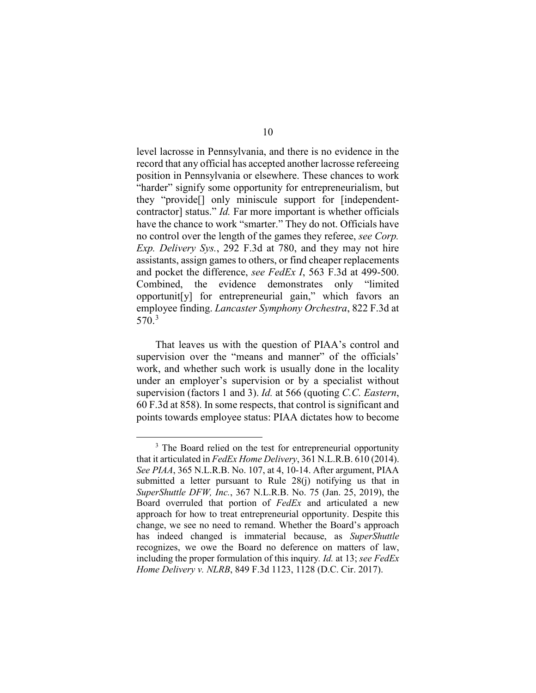level lacrosse in Pennsylvania, and there is no evidence in the record that any official has accepted another lacrosse refereeing position in Pennsylvania or elsewhere. These chances to work "harder" signify some opportunity for entrepreneurialism, but they "provide[] only miniscule support for [independentcontractor] status." *Id.* Far more important is whether officials have the chance to work "smarter." They do not. Officials have no control over the length of the games they referee, *see Corp. Exp. Delivery Sys.*, 292 F.3d at 780, and they may not hire assistants, assign games to others, or find cheaper replacements and pocket the difference, *see FedEx I*, 563 F.3d at 499-500. Combined, the evidence demonstrates only "limited opportunit[y] for entrepreneurial gain," which favors an employee finding. *Lancaster Symphony Orchestra*, 822 F.3d at 570. [3](#page-9-0)

That leaves us with the question of PIAA's control and supervision over the "means and manner" of the officials' work, and whether such work is usually done in the locality under an employer's supervision or by a specialist without supervision (factors 1 and 3). *Id.* at 566 (quoting *C.C. Eastern*, 60 F.3d at 858). In some respects, that control is significant and points towards employee status: PIAA dictates how to become

<span id="page-9-0"></span><sup>&</sup>lt;sup>3</sup> The Board relied on the test for entrepreneurial opportunity that it articulated in *FedEx Home Delivery*, 361 N.L.R.B. 610 (2014). *See PIAA*, 365 N.L.R.B. No. 107, at 4, 10-14. After argument, PIAA submitted a letter pursuant to Rule 28(j) notifying us that in *SuperShuttle DFW, Inc.*, 367 N.L.R.B. No. 75 (Jan. 25, 2019), the Board overruled that portion of *FedEx* and articulated a new approach for how to treat entrepreneurial opportunity. Despite this change, we see no need to remand. Whether the Board's approach has indeed changed is immaterial because, as *SuperShuttle* recognizes, we owe the Board no deference on matters of law, including the proper formulation of this inquiry*. Id.* at 13; *see FedEx Home Delivery v. NLRB*, 849 F.3d 1123, 1128 (D.C. Cir. 2017).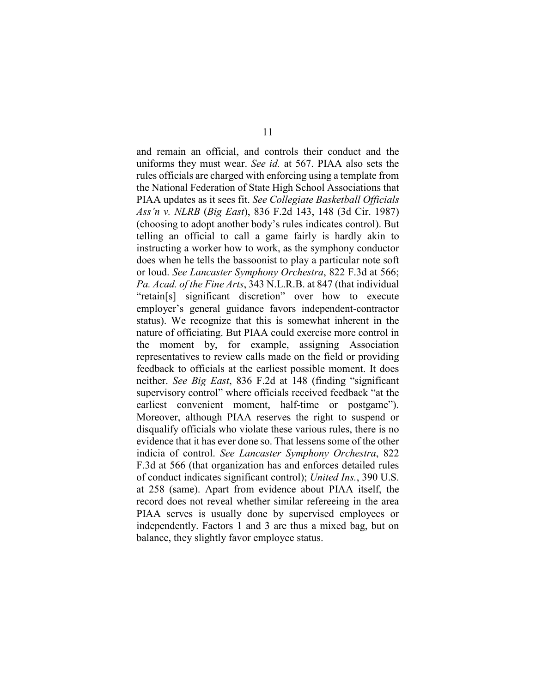and remain an official, and controls their conduct and the uniforms they must wear. *See id.* at 567. PIAA also sets the rules officials are charged with enforcing using a template from the National Federation of State High School Associations that PIAA updates as it sees fit. *See Collegiate Basketball Officials Ass'n v. NLRB* (*Big East*), 836 F.2d 143, 148 (3d Cir. 1987) (choosing to adopt another body's rules indicates control). But telling an official to call a game fairly is hardly akin to instructing a worker how to work, as the symphony conductor does when he tells the bassoonist to play a particular note soft or loud. *See Lancaster Symphony Orchestra*, 822 F.3d at 566; *Pa. Acad. of the Fine Arts*, 343 N.L.R.B. at 847 (that individual "retain[s] significant discretion" over how to execute employer's general guidance favors independent-contractor status). We recognize that this is somewhat inherent in the nature of officiating. But PIAA could exercise more control in the moment by, for example, assigning Association representatives to review calls made on the field or providing feedback to officials at the earliest possible moment. It does neither. *See Big East*, 836 F.2d at 148 (finding "significant supervisory control" where officials received feedback "at the earliest convenient moment, half-time or postgame"). Moreover, although PIAA reserves the right to suspend or disqualify officials who violate these various rules, there is no evidence that it has ever done so. That lessens some of the other indicia of control. *See Lancaster Symphony Orchestra*, 822 F.3d at 566 (that organization has and enforces detailed rules of conduct indicates significant control); *United Ins.*, 390 U.S. at 258 (same). Apart from evidence about PIAA itself, the record does not reveal whether similar refereeing in the area PIAA serves is usually done by supervised employees or independently. Factors 1 and 3 are thus a mixed bag, but on balance, they slightly favor employee status.